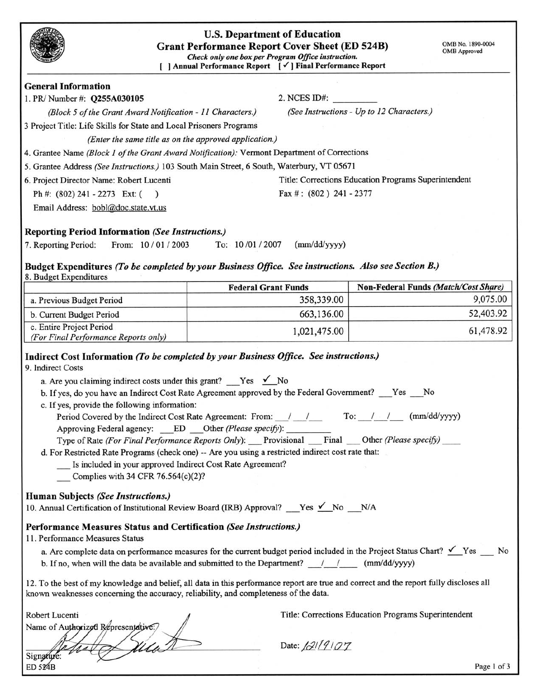|                                                                                                                                                                                                                                                                                            | <b>U.S. Department of Education</b><br><b>Grant Performance Report Cover Sheet (ED 524B)</b><br>Check only one box per Program Office instruction.<br>[ ] Annual Performance Report [√] Final Performance Report                                                                                                                                                                                                                                                                                                                                            | OMB No. 1890-0004<br><b>OMB</b> Approved             |
|--------------------------------------------------------------------------------------------------------------------------------------------------------------------------------------------------------------------------------------------------------------------------------------------|-------------------------------------------------------------------------------------------------------------------------------------------------------------------------------------------------------------------------------------------------------------------------------------------------------------------------------------------------------------------------------------------------------------------------------------------------------------------------------------------------------------------------------------------------------------|------------------------------------------------------|
| <b>General Information</b>                                                                                                                                                                                                                                                                 |                                                                                                                                                                                                                                                                                                                                                                                                                                                                                                                                                             |                                                      |
| 1. PR/ Number #: Q255A030105                                                                                                                                                                                                                                                               | $2.$ NCES ID#:                                                                                                                                                                                                                                                                                                                                                                                                                                                                                                                                              |                                                      |
| (Block 5 of the Grant Award Notification - 11 Characters.)                                                                                                                                                                                                                                 |                                                                                                                                                                                                                                                                                                                                                                                                                                                                                                                                                             | (See Instructions - Up to 12 Characters.)            |
| 3 Project Title: Life Skills for State and Local Prisoners Programs                                                                                                                                                                                                                        |                                                                                                                                                                                                                                                                                                                                                                                                                                                                                                                                                             |                                                      |
| (Enter the same title as on the approved application.)                                                                                                                                                                                                                                     |                                                                                                                                                                                                                                                                                                                                                                                                                                                                                                                                                             |                                                      |
| 4. Grantee Name (Block 1 of the Grant Award Notification): Vermont Department of Corrections                                                                                                                                                                                               |                                                                                                                                                                                                                                                                                                                                                                                                                                                                                                                                                             |                                                      |
| 5. Grantee Address (See Instructions.) 103 South Main Street, 6 South, Waterbury, VT 05671                                                                                                                                                                                                 |                                                                                                                                                                                                                                                                                                                                                                                                                                                                                                                                                             |                                                      |
| 6. Project Director Name: Robert Lucenti                                                                                                                                                                                                                                                   |                                                                                                                                                                                                                                                                                                                                                                                                                                                                                                                                                             | Title: Corrections Education Programs Superintendent |
| Ph #: (802) 241 - 2273 Ext: (<br>$\rightarrow$                                                                                                                                                                                                                                             | Fax #: $(802)$ 241 - 2377                                                                                                                                                                                                                                                                                                                                                                                                                                                                                                                                   |                                                      |
| Email Address: bobl@doc.state.vt.us                                                                                                                                                                                                                                                        |                                                                                                                                                                                                                                                                                                                                                                                                                                                                                                                                                             |                                                      |
| <b>Reporting Period Information (See Instructions.)</b>                                                                                                                                                                                                                                    |                                                                                                                                                                                                                                                                                                                                                                                                                                                                                                                                                             |                                                      |
| 7. Reporting Period:<br>From: 10/01/2003                                                                                                                                                                                                                                                   | To: 10/01/2007<br>(mm/dd/yyyy)                                                                                                                                                                                                                                                                                                                                                                                                                                                                                                                              |                                                      |
|                                                                                                                                                                                                                                                                                            |                                                                                                                                                                                                                                                                                                                                                                                                                                                                                                                                                             |                                                      |
| Budget Expenditures (To be completed by your Business Office. See instructions. Also see Section B.)<br>8. Budget Expenditures                                                                                                                                                             |                                                                                                                                                                                                                                                                                                                                                                                                                                                                                                                                                             |                                                      |
|                                                                                                                                                                                                                                                                                            | <b>Federal Grant Funds</b>                                                                                                                                                                                                                                                                                                                                                                                                                                                                                                                                  | Non-Federal Funds (Match/Cost Share)                 |
| a. Previous Budget Period                                                                                                                                                                                                                                                                  | 358,339.00                                                                                                                                                                                                                                                                                                                                                                                                                                                                                                                                                  | 9,075.00                                             |
| b. Current Budget Period                                                                                                                                                                                                                                                                   | 663,136.00                                                                                                                                                                                                                                                                                                                                                                                                                                                                                                                                                  | 52,403.92                                            |
| c. Entire Project Period<br>(For Final Performance Reports only)                                                                                                                                                                                                                           | 1,021,475.00                                                                                                                                                                                                                                                                                                                                                                                                                                                                                                                                                | 61,478.92                                            |
| 9. Indirect Costs<br>a. Are you claiming indirect costs under this grant? Yes $\checkmark$ No<br>c. If yes, provide the following information:<br>Is included in your approved Indirect Cost Rate Agreement?<br>Complies with 34 CFR $76.564(c)(2)?$<br>Human Subjects (See Instructions.) | b. If yes, do you have an Indirect Cost Rate Agreement approved by the Federal Government? ____Yes ____No<br>Period Covered by the Indirect Cost Rate Agreement: From: / / / To: / / / (mm/dd/yyyy)<br>Approving Federal agency: ED Other (Please specify):<br>Type of Rate (For Final Performance Reports Only): Provisional Final Other (Please specify)<br>d. For Restricted Rate Programs (check one) -- Are you using a restricted indirect cost rate that:<br>10. Annual Certification of Institutional Review Board (IRB) Approval? __Yes < No __N/A |                                                      |
| Performance Measures Status and Certification (See Instructions.)                                                                                                                                                                                                                          |                                                                                                                                                                                                                                                                                                                                                                                                                                                                                                                                                             |                                                      |
| 11. Performance Measures Status                                                                                                                                                                                                                                                            | a. Are complete data on performance measures for the current budget period included in the Project Status Chart? $\checkmark$ Yes $\checkmark$ No<br>b. If no, when will the data be available and submitted to the Department? $/$ / (mm/dd/yyyy)                                                                                                                                                                                                                                                                                                          |                                                      |
| known weaknesses concerning the accuracy, reliability, and completeness of the data.                                                                                                                                                                                                       | 12. To the best of my knowledge and belief, all data in this performance report are true and correct and the report fully discloses all                                                                                                                                                                                                                                                                                                                                                                                                                     |                                                      |
| Robert Lucenti<br>Name of Authorized Representative:/                                                                                                                                                                                                                                      |                                                                                                                                                                                                                                                                                                                                                                                                                                                                                                                                                             | Title: Corrections Education Programs Superintendent |
| Signature:<br>ED 524B                                                                                                                                                                                                                                                                      | Date: 1219107                                                                                                                                                                                                                                                                                                                                                                                                                                                                                                                                               | Page 1 of 3                                          |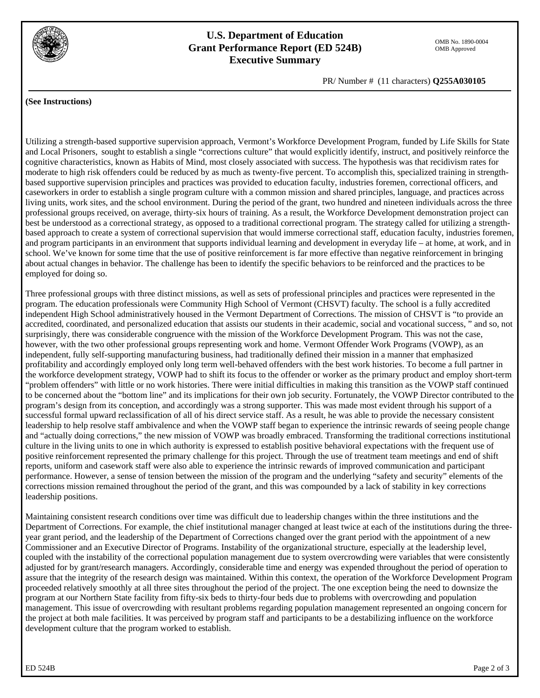

## **U.S. Department of Education Grant Performance Report (ED 524B) Executive Summary**

PR/ Number # (11 characters) **Q255A030105**

#### **(See Instructions)**

Utilizing a strength-based supportive supervision approach, Vermont's Workforce Development Program, funded by Life Skills for State and Local Prisoners, sought to establish a single "corrections culture" that would explicitly identify, instruct, and positively reinforce the cognitive characteristics, known as Habits of Mind, most closely associated with success. The hypothesis was that recidivism rates for moderate to high risk offenders could be reduced by as much as twenty-five percent. To accomplish this, specialized training in strengthbased supportive supervision principles and practices was provided to education faculty, industries foremen, correctional officers, and caseworkers in order to establish a single program culture with a common mission and shared principles, language, and practices across living units, work sites, and the school environment. During the period of the grant, two hundred and nineteen individuals across the three professional groups received, on average, thirty-six hours of training. As a result, the Workforce Development demonstration project can best be understood as a correctional strategy, as opposed to a traditional correctional program. The strategy called for utilizing a strengthbased approach to create a system of correctional supervision that would immerse correctional staff, education faculty, industries foremen, and program participants in an environment that supports individual learning and development in everyday life – at home, at work, and in school. We've known for some time that the use of positive reinforcement is far more effective than negative reinforcement in bringing about actual changes in behavior. The challenge has been to identify the specific behaviors to be reinforced and the practices to be employed for doing so.

Three professional groups with three distinct missions, as well as sets of professional principles and practices were represented in the program. The education professionals were Community High School of Vermont (CHSVT) faculty. The school is a fully accredited independent High School administratively housed in the Vermont Department of Corrections. The mission of CHSVT is "to provide an accredited, coordinated, and personalized education that assists our students in their academic, social and vocational success, " and so, not surprisingly, there was considerable congruence with the mission of the Workforce Development Program. This was not the case, however, with the two other professional groups representing work and home. Vermont Offender Work Programs (VOWP), as an independent, fully self-supporting manufacturing business, had traditionally defined their mission in a manner that emphasized profitability and accordingly employed only long term well-behaved offenders with the best work histories. To become a full partner in the workforce development strategy, VOWP had to shift its focus to the offender or worker as the primary product and employ short-term "problem offenders" with little or no work histories. There were initial difficulties in making this transition as the VOWP staff continued to be concerned about the "bottom line" and its implications for their own job security. Fortunately, the VOWP Director contributed to the program's design from its conception, and accordingly was a strong supporter. This was made most evident through his support of a successful formal upward reclassification of all of his direct service staff. As a result, he was able to provide the necessary consistent leadership to help resolve staff ambivalence and when the VOWP staff began to experience the intrinsic rewards of seeing people change and "actually doing corrections," the new mission of VOWP was broadly embraced. Transforming the traditional corrections institutional culture in the living units to one in which authority is expressed to establish positive behavioral expectations with the frequent use of positive reinforcement represented the primary challenge for this project. Through the use of treatment team meetings and end of shift reports, uniform and casework staff were also able to experience the intrinsic rewards of improved communication and participant performance. However, a sense of tension between the mission of the program and the underlying "safety and security" elements of the corrections mission remained throughout the period of the grant, and this was compounded by a lack of stability in key corrections leadership positions.

Maintaining consistent research conditions over time was difficult due to leadership changes within the three institutions and the Department of Corrections. For example, the chief institutional manager changed at least twice at each of the institutions during the threeyear grant period, and the leadership of the Department of Corrections changed over the grant period with the appointment of a new Commissioner and an Executive Director of Programs. Instability of the organizational structure, especially at the leadership level, coupled with the instability of the correctional population management due to system overcrowding were variables that were consistently adjusted for by grant/research managers. Accordingly, considerable time and energy was expended throughout the period of operation to assure that the integrity of the research design was maintained. Within this context, the operation of the Workforce Development Program proceeded relatively smoothly at all three sites throughout the period of the project. The one exception being the need to downsize the program at our Northern State facility from fifty-six beds to thirty-four beds due to problems with overcrowding and population management. This issue of overcrowding with resultant problems regarding population management represented an ongoing concern for the project at both male facilities. It was perceived by program staff and participants to be a destabilizing influence on the workforce development culture that the program worked to establish.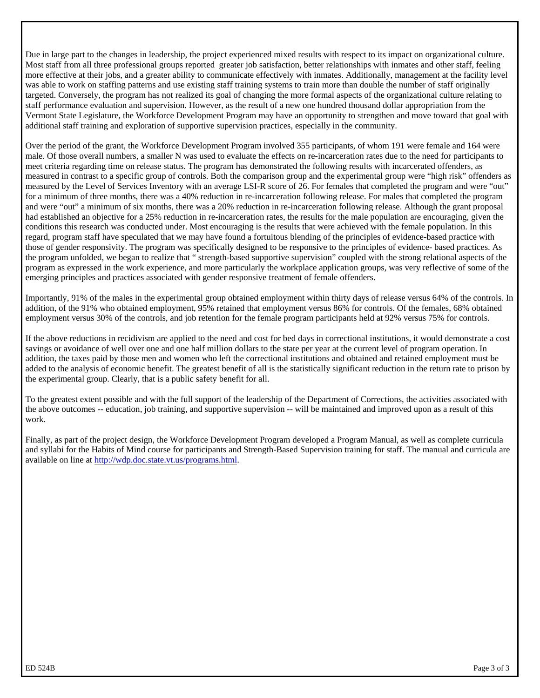Due in large part to the changes in leadership, the project experienced mixed results with respect to its impact on organizational culture. Most staff from all three professional groups reported greater job satisfaction, better relationships with inmates and other staff, feeling more effective at their jobs, and a greater ability to communicate effectively with inmates. Additionally, management at the facility level was able to work on staffing patterns and use existing staff training systems to train more than double the number of staff originally targeted. Conversely, the program has not realized its goal of changing the more formal aspects of the organizational culture relating to staff performance evaluation and supervision. However, as the result of a new one hundred thousand dollar appropriation from the Vermont State Legislature, the Workforce Development Program may have an opportunity to strengthen and move toward that goal with additional staff training and exploration of supportive supervision practices, especially in the community.

Over the period of the grant, the Workforce Development Program involved 355 participants, of whom 191 were female and 164 were male. Of those overall numbers, a smaller N was used to evaluate the effects on re-incarceration rates due to the need for participants to meet criteria regarding time on release status. The program has demonstrated the following results with incarcerated offenders, as measured in contrast to a specific group of controls. Both the comparison group and the experimental group were "high risk" offenders as measured by the Level of Services Inventory with an average LSI-R score of 26. For females that completed the program and were "out" for a minimum of three months, there was a 40% reduction in re-incarceration following release. For males that completed the program and were "out" a minimum of six months, there was a 20% reduction in re-incarceration following release. Although the grant proposal had established an objective for a 25% reduction in re-incarceration rates, the results for the male population are encouraging, given the conditions this research was conducted under. Most encouraging is the results that were achieved with the female population. In this regard, program staff have speculated that we may have found a fortuitous blending of the principles of evidence-based practice with those of gender responsivity. The program was specifically designed to be responsive to the principles of evidence- based practices. As the program unfolded, we began to realize that " strength-based supportive supervision" coupled with the strong relational aspects of the program as expressed in the work experience, and more particularly the workplace application groups, was very reflective of some of the emerging principles and practices associated with gender responsive treatment of female offenders.

Importantly, 91% of the males in the experimental group obtained employment within thirty days of release versus 64% of the controls. In addition, of the 91% who obtained employment, 95% retained that employment versus 86% for controls. Of the females, 68% obtained employment versus 30% of the controls, and job retention for the female program participants held at 92% versus 75% for controls.

If the above reductions in recidivism are applied to the need and cost for bed days in correctional institutions, it would demonstrate a cost savings or avoidance of well over one and one half million dollars to the state per year at the current level of program operation. In addition, the taxes paid by those men and women who left the correctional institutions and obtained and retained employment must be added to the analysis of economic benefit. The greatest benefit of all is the statistically significant reduction in the return rate to prison by the experimental group. Clearly, that is a public safety benefit for all.

To the greatest extent possible and with the full support of the leadership of the Department of Corrections, the activities associated with the above outcomes -- education, job training, and supportive supervision -- will be maintained and improved upon as a result of this work.

Finally, as part of the project design, the Workforce Development Program developed a Program Manual, as well as complete curricula and syllabi for the Habits of Mind course for participants and Strength-Based Supervision training for staff. The manual and curricula are available on line at http://wdp.doc.state.vt.us/programs.html.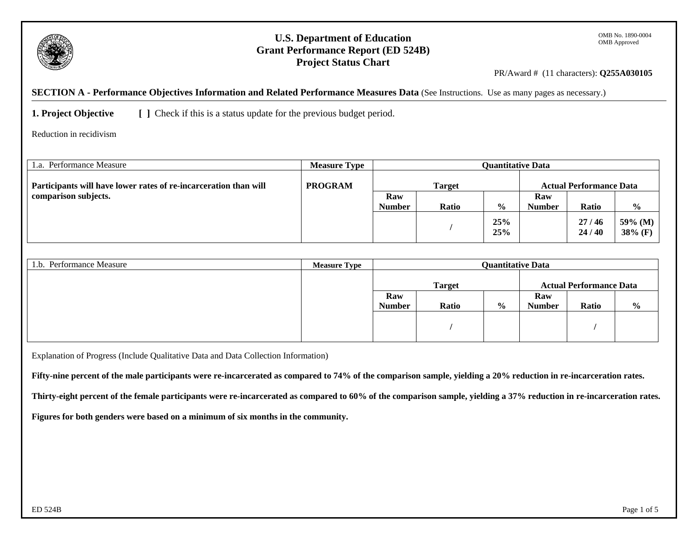

## **U.S. Department of Education Grant Performance Report (ED 524B) Project Status Chart**

PR/Award # (11 characters): **Q255A030105**

**SECTION A - Performance Objectives Information and Related Performance Measures Data** (See Instructions. Use as many pages as necessary.)

**1. Project Objective** [ ] Check if this is a status update for the previous budget period.

Reduction in recidivism

| 1.a. Performance Measure                                         | <b>Measure Type</b> | <b>Ouantitative Data</b> |              |               |                                |                |                       |
|------------------------------------------------------------------|---------------------|--------------------------|--------------|---------------|--------------------------------|----------------|-----------------------|
| Participants will have lower rates of re-incarceration than will | <b>PROGRAM</b>      | <b>Target</b>            |              |               | <b>Actual Performance Data</b> |                |                       |
| comparison subjects.                                             |                     | Raw                      |              |               | Raw                            |                |                       |
|                                                                  |                     | <b>Number</b>            | <b>Ratio</b> | $\frac{6}{6}$ | <b>Number</b>                  | Ratio          | $\frac{6}{9}$         |
|                                                                  |                     |                          |              | 25%<br>25%    |                                | 27/46<br>24/40 | $59\%$ (M)<br>38% (F) |

| 1.b. Performance Measure | <b>Measure Type</b> | <b>Quantitative Data</b> |       |               |                                |       |               |
|--------------------------|---------------------|--------------------------|-------|---------------|--------------------------------|-------|---------------|
|                          |                     | <b>Target</b>            |       |               | <b>Actual Performance Data</b> |       |               |
|                          |                     | Raw                      |       |               | Raw                            |       |               |
|                          |                     | <b>Number</b>            | Ratio | $\frac{6}{9}$ | <b>Number</b>                  | Ratio | $\frac{0}{0}$ |
|                          |                     |                          |       |               |                                |       |               |
|                          |                     |                          |       |               |                                |       |               |
|                          |                     |                          |       |               |                                |       |               |

Explanation of Progress (Include Qualitative Data and Data Collection Information)

**Fifty-nine percent of the male participants were re-incarcerated as compared to 74% of the comparison sample, yielding a 20% reduction in re-incarceration rates.** 

**Thirty-eight percent of the female participants were re-incarcerated as compared to 60% of the comparison sample, yielding a 37% reduction in re-incarceration rates.** 

**Figures for both genders were based on a minimum of six months in the community.**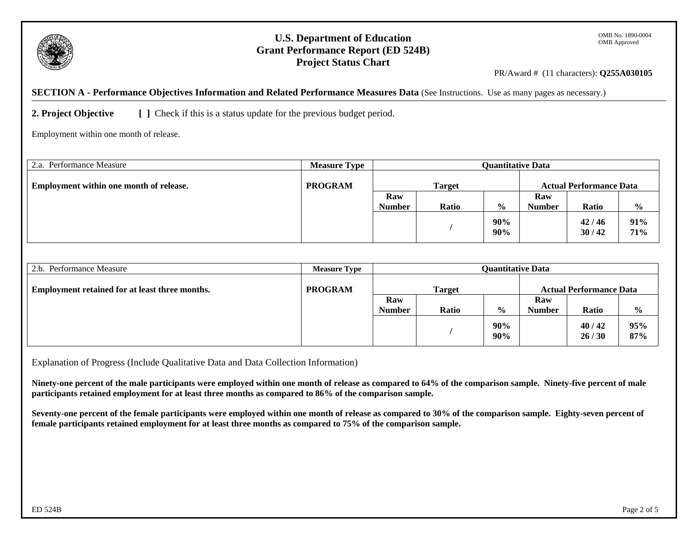

## **U.S. Department of Education Grant Performance Report (ED 524B) Project Status Chart**

PR/Award # (11 characters): **Q255A030105** 

**SECTION A - Performance Objectives Information and Related Performance Measures Data** (See Instructions. Use as many pages as necessary.)

**2. Project Objective** [ ] Check if this is a status update for the previous budget period.

Employment within one month of release.

| Performance Measure<br>2.a.             | <b>Measure Type</b> | <b>Quantitative Data</b> |              |               |                                |                |                |
|-----------------------------------------|---------------------|--------------------------|--------------|---------------|--------------------------------|----------------|----------------|
| Employment within one month of release. | <b>PROGRAM</b>      | <b>Target</b>            |              |               | <b>Actual Performance Data</b> |                |                |
|                                         |                     | Raw                      |              |               | Raw                            |                |                |
|                                         |                     | <b>Number</b>            | <b>Ratio</b> | $\frac{0}{0}$ | <b>Number</b>                  | <b>Ratio</b>   | $\frac{6}{10}$ |
|                                         |                     |                          |              | 90%<br>90%    |                                | 42/46<br>30/42 | 91%<br>71%     |

| 2.b. Performance Measure                              | <b>Measure Type</b> | <b>Quantitative Data</b> |              |               |                                |                |               |
|-------------------------------------------------------|---------------------|--------------------------|--------------|---------------|--------------------------------|----------------|---------------|
| <b>Employment retained for at least three months.</b> | <b>PROGRAM</b>      | <b>Target</b>            |              |               | <b>Actual Performance Data</b> |                |               |
|                                                       |                     | Raw                      |              |               | Raw                            |                |               |
|                                                       |                     | <b>Number</b>            | <b>Ratio</b> | $\frac{0}{0}$ | <b>Number</b>                  | <b>Ratio</b>   | $\frac{0}{0}$ |
|                                                       |                     |                          |              | 90%<br>90%    |                                | 40/42<br>26/30 | 95%<br>87%    |

Explanation of Progress (Include Qualitative Data and Data Collection Information)

**Ninety-one percent of the male participants were employed within one month of release as compared to 64% of the comparison sample. Ninety-five percent of male participants retained employment for at least three months as compared to 86% of the comparison sample.** 

**Seventy-one percent of the female participants were employed within one month of release as compared to 30% of the comparison sample. Eighty-seven percent of female participants retained employment for at least three months as compared to 75% of the comparison sample.**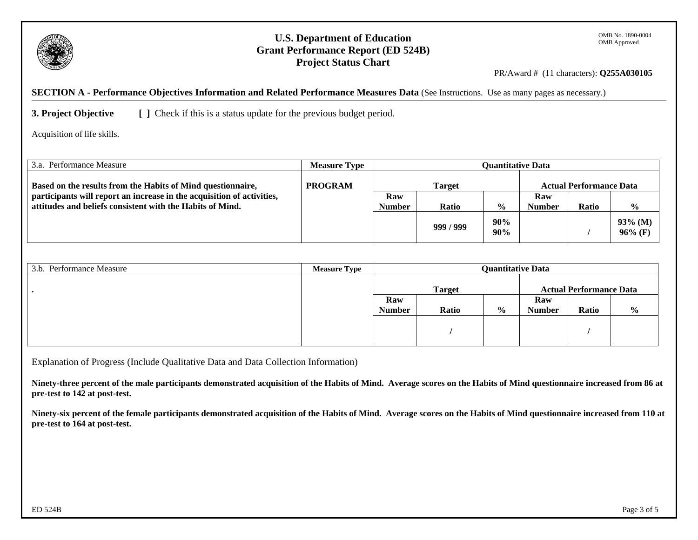

## **U.S. Department of Education Grant Performance Report (ED 524B) Project Status Chart**

PR/Award # (11 characters): **Q255A030105** 

**SECTION A - Performance Objectives Information and Related Performance Measures Data** (See Instructions. Use as many pages as necessary.)

**3. Project Objective** [ ] Check if this is a status update for the previous budget period.

Acquisition of life skills.

| 3.a. Performance Measure                                               | <b>Measure Type</b> | <b>Ouantitative Data</b> |         |               |                                |              |                          |  |
|------------------------------------------------------------------------|---------------------|--------------------------|---------|---------------|--------------------------------|--------------|--------------------------|--|
| Based on the results from the Habits of Mind questionnaire,            | <b>PROGRAM</b>      | <b>Target</b>            |         |               | <b>Actual Performance Data</b> |              |                          |  |
| participants will report an increase in the acquisition of activities, |                     | Raw                      |         |               | Raw                            |              |                          |  |
| attitudes and beliefs consistent with the Habits of Mind.              |                     | <b>Number</b>            | Ratio   | $\frac{0}{0}$ | <b>Number</b>                  | <b>Ratio</b> | $\frac{6}{9}$            |  |
|                                                                        |                     |                          | 999/999 | 90%<br>90%    |                                |              | $93\%$ (M)<br>$96\%$ (F) |  |

| 3.b. Performance Measure | <b>Measure Type</b> | <b>Quantitative Data</b> |       |               |                                |       |               |
|--------------------------|---------------------|--------------------------|-------|---------------|--------------------------------|-------|---------------|
|                          |                     | <b>Target</b>            |       |               | <b>Actual Performance Data</b> |       |               |
|                          |                     | Raw                      |       |               | Raw                            |       |               |
|                          |                     | <b>Number</b>            | Ratio | $\frac{0}{0}$ | <b>Number</b>                  | Ratio | $\frac{0}{0}$ |
|                          |                     |                          |       |               |                                |       |               |
|                          |                     |                          |       |               |                                |       |               |
|                          |                     |                          |       |               |                                |       |               |

Explanation of Progress (Include Qualitative Data and Data Collection Information)

**Ninety-three percent of the male participants demonstrated acquisition of the Habits of Mind. Average scores on the Habits of Mind questionnaire increased from 86 at pre-test to 142 at post-test.** 

**Ninety-six percent of the female participants demonstrated acquisition of the Habits of Mind. Average scores on the Habits of Mind questionnaire increased from 110 at pre-test to 164 at post-test.**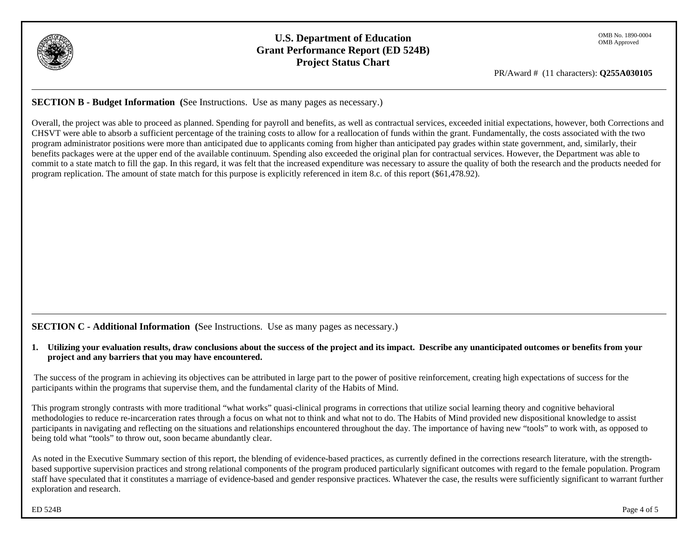

# **U.S. Department of Education Grant Performance Report (ED 524B) Project Status Chart**

PR/Award # (11 characters): **Q255A030105** 

**SECTION B - Budget Information (**See Instructions. Use as many pages as necessary.)

Overall, the project was able to proceed as planned. Spending for payroll and benefits, as well as contractual services, exceeded initial expectations, however, both Corrections and CHSVT were able to absorb a sufficient percentage of the training costs to allow for a reallocation of funds within the grant. Fundamentally, the costs associated with the two program administrator positions were more than anticipated due to applicants coming from higher than anticipated pay grades within state government, and, similarly, their benefits packages were at the upper end of the available continuum. Spending also exceeded the original plan for contractual services. However, the Department was able to commit to a state match to fill the gap. In this regard, it was felt that the increased expenditure was necessary to assure the quality of both the research and the products needed for program replication. The amount of state match for this purpose is explicitly referenced in item 8.c. of this report (\$61,478.92).

**SECTION C - Additional Information** (See Instructions. Use as many pages as necessary.)

**1. Utilizing your evaluation results, draw conclusions about the success of the project and its impact. Describe any unanticipated outcomes or benefits from your project and any barriers that you may have encountered.** 

 The success of the program in achieving its objectives can be attributed in large part to the power of positive reinforcement, creating high expectations of success for the participants within the programs that supervise them, and the fundamental clarity of the Habits of Mind.

This program strongly contrasts with more traditional "what works" quasi-clinical programs in corrections that utilize social learning theory and cognitive behavioral methodologies to reduce re-incarceration rates through a focus on what not to think and what not to do. The Habits of Mind provided new dispositional knowledge to assist participants in navigating and reflecting on the situations and relationships encountered throughout the day. The importance of having new "tools" to work with, as opposed to being told what "tools" to throw out, soon became abundantly clear.

As noted in the Executive Summary section of this report, the blending of evidence-based practices, as currently defined in the corrections research literature, with the strengthbased supportive supervision practices and strong relational components of the program produced particularly significant outcomes with regard to the female population. Program staff have speculated that it constitutes a marriage of evidence-based and gender responsive practices. Whatever the case, the results were sufficiently significant to warrant further exploration and research.